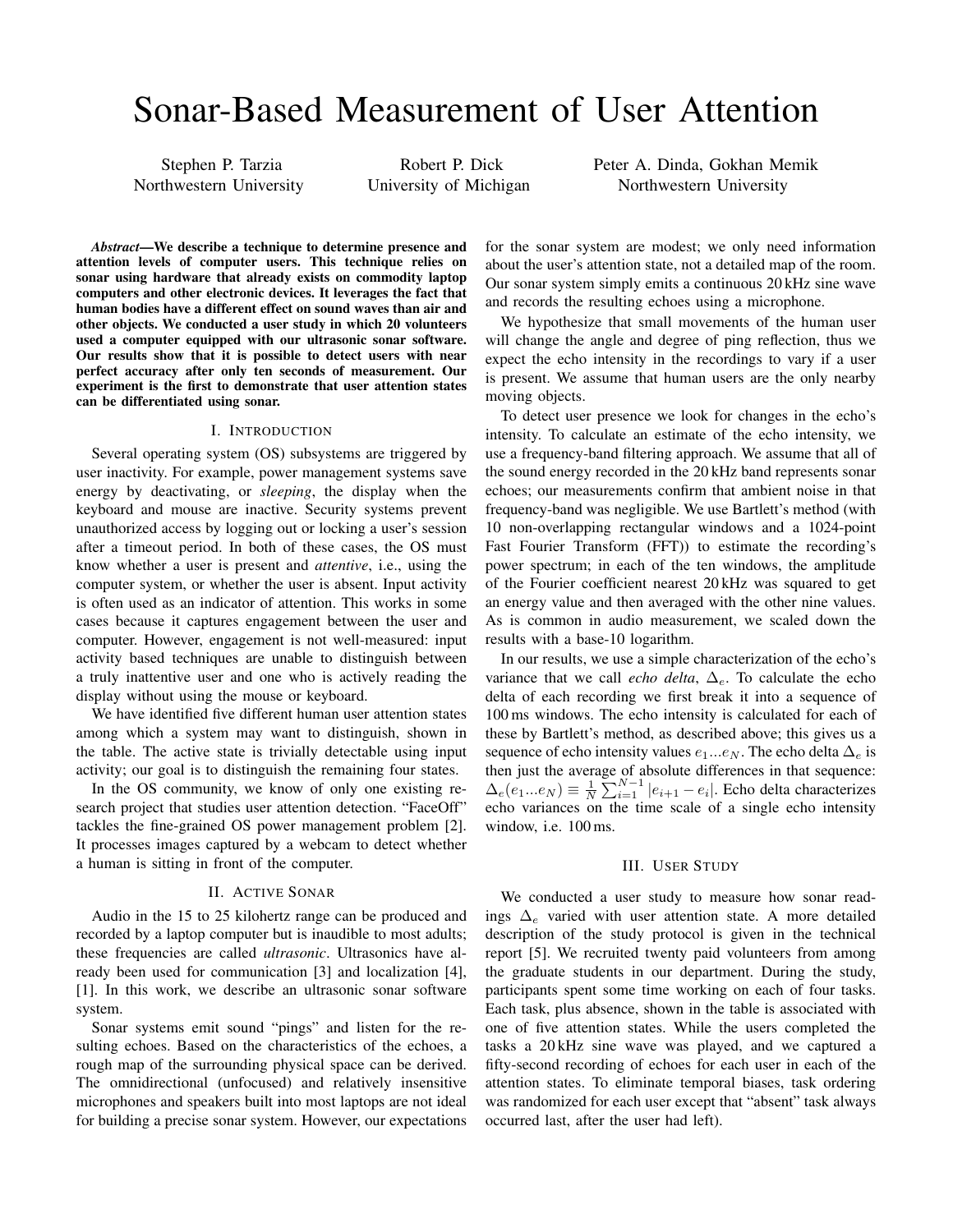# Sonar-Based Measurement of User Attention

Stephen P. Tarzia Northwestern University

Robert P. Dick University of Michigan Peter A. Dinda, Gokhan Memik Northwestern University

*Abstract*—We describe a technique to determine presence and attention levels of computer users. This technique relies on sonar using hardware that already exists on commodity laptop computers and other electronic devices. It leverages the fact that human bodies have a different effect on sound waves than air and other objects. We conducted a user study in which 20 volunteers used a computer equipped with our ultrasonic sonar software. Our results show that it is possible to detect users with near perfect accuracy after only ten seconds of measurement. Our experiment is the first to demonstrate that user attention states can be differentiated using sonar.

#### I. INTRODUCTION

Several operating system (OS) subsystems are triggered by user inactivity. For example, power management systems save energy by deactivating, or *sleeping*, the display when the keyboard and mouse are inactive. Security systems prevent unauthorized access by logging out or locking a user's session after a timeout period. In both of these cases, the OS must know whether a user is present and *attentive*, i.e., using the computer system, or whether the user is absent. Input activity is often used as an indicator of attention. This works in some cases because it captures engagement between the user and computer. However, engagement is not well-measured: input activity based techniques are unable to distinguish between a truly inattentive user and one who is actively reading the display without using the mouse or keyboard.

We have identified five different human user attention states among which a system may want to distinguish, shown in the table. The active state is trivially detectable using input activity; our goal is to distinguish the remaining four states.

In the OS community, we know of only one existing research project that studies user attention detection. "FaceOff" tackles the fine-grained OS power management problem [2]. It processes images captured by a webcam to detect whether a human is sitting in front of the computer.

## II. ACTIVE SONAR

Audio in the 15 to 25 kilohertz range can be produced and recorded by a laptop computer but is inaudible to most adults; these frequencies are called *ultrasonic*. Ultrasonics have already been used for communication [3] and localization [4], [1]. In this work, we describe an ultrasonic sonar software system.

Sonar systems emit sound "pings" and listen for the resulting echoes. Based on the characteristics of the echoes, a rough map of the surrounding physical space can be derived. The omnidirectional (unfocused) and relatively insensitive microphones and speakers built into most laptops are not ideal for building a precise sonar system. However, our expectations for the sonar system are modest; we only need information about the user's attention state, not a detailed map of the room. Our sonar system simply emits a continuous 20 kHz sine wave and records the resulting echoes using a microphone.

We hypothesize that small movements of the human user will change the angle and degree of ping reflection, thus we expect the echo intensity in the recordings to vary if a user is present. We assume that human users are the only nearby moving objects.

To detect user presence we look for changes in the echo's intensity. To calculate an estimate of the echo intensity, we use a frequency-band filtering approach. We assume that all of the sound energy recorded in the 20 kHz band represents sonar echoes; our measurements confirm that ambient noise in that frequency-band was negligible. We use Bartlett's method (with 10 non-overlapping rectangular windows and a 1024-point Fast Fourier Transform (FFT)) to estimate the recording's power spectrum; in each of the ten windows, the amplitude of the Fourier coefficient nearest 20 kHz was squared to get an energy value and then averaged with the other nine values. As is common in audio measurement, we scaled down the results with a base-10 logarithm.

In our results, we use a simple characterization of the echo's variance that we call *echo delta*,  $\Delta_e$ . To calculate the echo delta of each recording we first break it into a sequence of 100 ms windows. The echo intensity is calculated for each of these by Bartlett's method, as described above; this gives us a sequence of echo intensity values  $e_1...e_N$ . The echo delta  $\Delta_e$  is then just the average of absolute differences in that sequence:  $\Delta_e(e_1...e_N) \equiv \frac{1}{N} \sum_{i=1}^{N-1} |e_{i+1} - e_i|$ . Echo delta characterizes echo variances on the time scale of a single echo intensity window, i.e. 100 ms.

### III. USER STUDY

We conducted a user study to measure how sonar readings  $\Delta_e$  varied with user attention state. A more detailed description of the study protocol is given in the technical report [5]. We recruited twenty paid volunteers from among the graduate students in our department. During the study, participants spent some time working on each of four tasks. Each task, plus absence, shown in the table is associated with one of five attention states. While the users completed the tasks a 20 kHz sine wave was played, and we captured a fifty-second recording of echoes for each user in each of the attention states. To eliminate temporal biases, task ordering was randomized for each user except that "absent" task always occurred last, after the user had left).